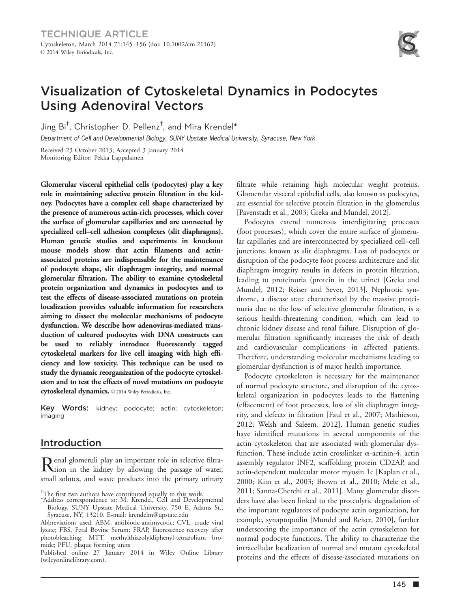# Visualization of Cytoskeletal Dynamics in Podocytes Using Adenoviral Vectors

Jing Bi† , Christopher D. Pellenz† , and Mira Krendel\*

Department of Cell and Developmental Biology, SUNY Upstate Medical University, Syracuse, New York

Received 23 October 2013; Accepted 3 January 2014 Monitoring Editor: Pekka Lappalainen

Glomerular visceral epithelial cells (podocytes) play a key role in maintaining selective protein filtration in the kidney. Podocytes have a complex cell shape characterized by the presence of numerous actin-rich processes, which cover the surface of glomerular capillaries and are connected by specialized cell–cell adhesion complexes (slit diaphragms). Human genetic studies and experiments in knockout mouse models show that actin filaments and actinassociated proteins are indispensable for the maintenance of podocyte shape, slit diaphragm integrity, and normal glomerular filtration. The ability to examine cytoskeletal protein organization and dynamics in podocytes and to test the effects of disease-associated mutations on protein localization provides valuable information for researchers aiming to dissect the molecular mechanisms of podocyte dysfunction. We describe how adenovirus-mediated transduction of cultured podocytes with DNA constructs can be used to reliably introduce fluorescently tagged cytoskeletal markers for live cell imaging with high efficiency and low toxicity. This technique can be used to study the dynamic reorganization of the podocyte cytoskeleton and to test the effects of novel mutations on podocyte cytoskeletal dynamics. 2014 Wiley Periodicals, Inc.

Key Words: kidney; podocyte; actin; cytoskeleton; imaging

# Introduction

Renal glomeruli play an important role in selective filtra-tion in the kidney by allowing the passage of water, small solutes, and waste products into the primary urinary

Published online 27 January 2014 in Wiley Online Library (wileyonlinelibrary.com).

filtrate while retaining high molecular weight proteins. Glomerular visceral epithelial cells, also known as podocytes, are essential for selective protein filtration in the glomerulus [Pavenstadt et al., 2003; Greka and Mundel, 2012].

Podocytes extend numerous interdigitating processes (foot processes), which cover the entire surface of glomerular capillaries and are interconnected by specialized cell–cell junctions, known as slit diaphragms. Loss of podocytes or disruption of the podocyte foot process architecture and slit diaphragm integrity results in defects in protein filtration, leading to proteinuria (protein in the urine) [Greka and Mundel, 2012; Reiser and Sever, 2013]. Nephrotic syndrome, a disease state characterized by the massive proteinuria due to the loss of selective glomerular filtration, is a serious health-threatening condition, which can lead to chronic kidney disease and renal failure. Disruption of glomerular filtration significantly increases the risk of death and cardiovascular complications in affected patients. Therefore, understanding molecular mechanisms leading to glomerular dysfunction is of major health importance.

Podocyte cytoskeleton is necessary for the maintenance of normal podocyte structure, and disruption of the cytoskeletal organization in podocytes leads to the flattening (effacement) of foot processes, loss of slit diaphragm integrity, and defects in filtration [Faul et al., 2007; Mathieson, 2012; Welsh and Saleem, 2012]. Human genetic studies have identified mutations in several components of the actin cytoskeleton that are associated with glomerular dysfunction. These include actin crosslinker  $\alpha$ -actinin-4, actin assembly regulator INF2, scaffolding protein CD2AP, and actin-dependent molecular motor myosin 1e [Kaplan et al., 2000; Kim et al., 2003; Brown et al., 2010; Mele et al., 2011; Sanna-Cherchi et al., 2011]. Many glomerular disorders have also been linked to the proteolytic degradation of the important regulators of podocyte actin organization, for example, synaptopodin [Mundel and Reiser, 2010], further underscoring the importance of the actin cytoskeleton for normal podocyte functions. The ability to characterize the intracellular localization of normal and mutant cytoskeletal proteins and the effects of disease-associated mutations on

<sup>†</sup> The first two authors have contributed equally to this work. \*Address correspondence to: M. Krendel, Cell and Developmental

Biology, SUNY Upstate Medical University, 750 E. Adams St.,

Syracuse, NY, 13210. E-mail: krendelm@upstate.edu Abbreviations used: ABM, antibiotic-antimycotic; CVL, crude viral lysate; FBS, Fetal Bovine Serum; FRAP, fluorescence recovery after photobleaching; MTT, methylthiazolyldiphenyl-tetrazolium bromide; PFU, plaque forming units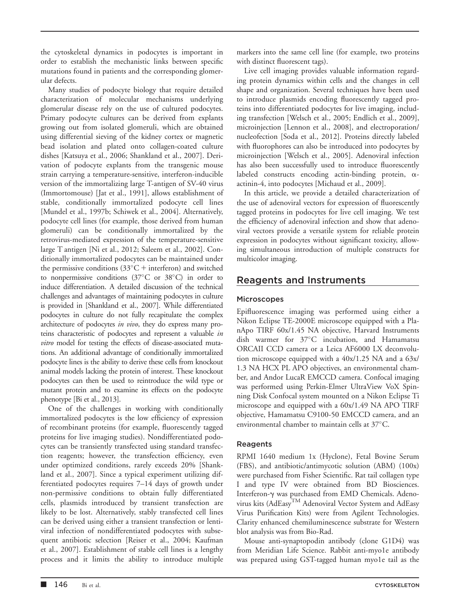the cytoskeletal dynamics in podocytes is important in order to establish the mechanistic links between specific mutations found in patients and the corresponding glomerular defects.

Many studies of podocyte biology that require detailed characterization of molecular mechanisms underlying glomerular disease rely on the use of cultured podocytes. Primary podocyte cultures can be derived from explants growing out from isolated glomeruli, which are obtained using differential sieving of the kidney cortex or magnetic bead isolation and plated onto collagen-coated culture dishes [Katsuya et al., 2006; Shankland et al., 2007]. Derivation of podocyte explants from the transgenic mouse strain carrying a temperature-sensitive, interferon-inducible version of the immortalizing large T-antigen of SV-40 virus (Immortomouse) [Jat et al., 1991], allows establishment of stable, conditionally immortalized podocyte cell lines [Mundel et al., 1997b; Schiwek et al., 2004]. Alternatively, podocyte cell lines (for example, those derived from human glomeruli) can be conditionally immortalized by the retrovirus-mediated expression of the temperature-sensitive large T antigen [Ni et al., 2012; Saleem et al., 2002]. Conditionally immortalized podocytes can be maintained under the permissive conditions  $(33^{\circ}C + \text{interferon})$  and switched to nonpermissive conditions (37°C or 38°C) in order to induce differentiation. A detailed discussion of the technical challenges and advantages of maintaining podocytes in culture is provided in [Shankland et al., 2007]. While differentiated podocytes in culture do not fully recapitulate the complex architecture of podocytes in vivo, they do express many proteins characteristic of podocytes and represent a valuable in *vitro* model for testing the effects of disease-associated mutations. An additional advantage of conditionally immortalized podocyte lines is the ability to derive these cells from knockout animal models lacking the protein of interest. These knockout podocytes can then be used to reintroduce the wild type or mutant protein and to examine its effects on the podocyte phenotype [Bi et al., 2013].

One of the challenges in working with conditionally immortalized podocytes is the low efficiency of expression of recombinant proteins (for example, fluorescently tagged proteins for live imaging studies). Nondifferentiated podocytes can be transiently transfected using standard transfection reagents; however, the transfection efficiency, even under optimized conditions, rarely exceeds 20% [Shankland et al., 2007]. Since a typical experiment utilizing differentiated podocytes requires 7–14 days of growth under non-permissive conditions to obtain fully differentiated cells, plasmids introduced by transient transfection are likely to be lost. Alternatively, stably transfected cell lines can be derived using either a transient transfection or lentiviral infection of nondifferentiated podocytes with subsequent antibiotic selection [Reiser et al., 2004; Kaufman et al., 2007]. Establishment of stable cell lines is a lengthy process and it limits the ability to introduce multiple markers into the same cell line (for example, two proteins with distinct fluorescent tags).

Live cell imaging provides valuable information regarding protein dynamics within cells and the changes in cell shape and organization. Several techniques have been used to introduce plasmids encoding fluorescently tagged proteins into differentiated podocytes for live imaging, including transfection [Welsch et al., 2005; Endlich et al., 2009], microinjection [Lennon et al., 2008], and electroporation/ nucleofection [Soda et al., 2012]. Proteins directly labeled with fluorophores can also be introduced into podocytes by microinjection [Welsch et al., 2005]. Adenoviral infection has also been successfully used to introduce fluorescently labeled constructs encoding actin-binding protein,  $\alpha$ actinin-4, into podocytes [Michaud et al., 2009].

In this article, we provide a detailed characterization of the use of adenoviral vectors for expression of fluorescently tagged proteins in podocytes for live cell imaging. We test the efficiency of adenoviral infection and show that adenoviral vectors provide a versatile system for reliable protein expression in podocytes without significant toxicity, allowing simultaneous introduction of multiple constructs for multicolor imaging.

# Reagents and Instruments

### Microscopes

Epifluorescence imaging was performed using either a Nikon Eclipse TE-2000E microscope equipped with a PlanApo TIRF 60x/1.45 NA objective, Harvard Instruments dish warmer for 37°C incubation, and Hamamatsu ORCAII CCD camera or a Leica AF6000 LX deconvolution microscope equipped with a 40x/1.25 NA and a 63x/ 1.3 NA HCX PL APO objectives, an environmental chamber, and Andor LucaR EMCCD camera. Confocal imaging was performed using Perkin-Elmer UltraView VoX Spinning Disk Confocal system mounted on a Nikon Eclipse Ti microscope and equipped with a 60x/1.49 NA APO TIRF objective, Hamamatsu C9100-50 EMCCD camera, and an environmental chamber to maintain cells at 37°C.

### Reagents

RPMI 1640 medium 1x (Hyclone), Fetal Bovine Serum (FBS), and antibiotic/antimycotic solution (ABM) (100x) were purchased from Fisher Scientific. Rat tail collagen type I and type IV were obtained from BD Biosciences. Interferon-g was purchased from EMD Chemicals. Adenovirus kits (AdEasyTM Adenoviral Vector System and AdEasy Virus Purification Kits) were from Agilent Technologies. Clarity enhanced chemiluminescence substrate for Western blot analysis was from Bio-Rad.

Mouse anti-synaptopodin antibody (clone G1D4) was from Meridian Life Science. Rabbit anti-myo1e antibody was prepared using GST-tagged human myo1e tail as the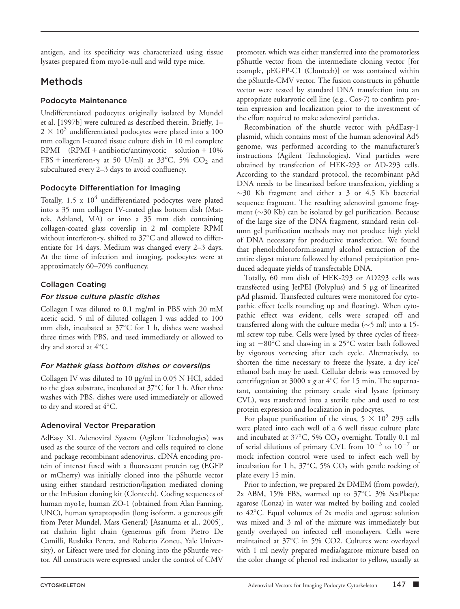antigen, and its specificity was characterized using tissue lysates prepared from myo1e-null and wild type mice.

# Methods

## Podocyte Maintenance

Undifferentiated podocytes originally isolated by Mundel et al. [1997b] were cultured as described therein. Briefly, 1–  $2 \times 10^5$  undifferentiated podocytes were plated into a 100 mm collagen I-coated tissue culture dish in 10 ml complete  $RPMI$  (RPMI + antibiotic/antimycotic solution + 10%) FBS + interferon- $\gamma$  at 50 U/ml) at 33°C, 5% CO<sub>2</sub> and subcultured every 2–3 days to avoid confluency.

## Podocyte Differentiation for Imaging

Totally,  $1.5 \times 10^4$  undifferentiated podocytes were plated into a 35 mm collagen IV-coated glass bottom dish (Mattek, Ashland, MA) or into a 35 mm dish containing collagen-coated glass coverslip in 2 ml complete RPMI without interferon- $\gamma$ , shifted to 37°C and allowed to differentiate for 14 days. Medium was changed every 2–3 days. At the time of infection and imaging, podocytes were at approximately 60–70% confluency.

## Collagen Coating

## For tissue culture plastic dishes

Collagen I was diluted to 0.1 mg/ml in PBS with 20 mM acetic acid. 5 ml of diluted collagen I was added to 100 mm dish, incubated at 37°C for 1 h, dishes were washed three times with PBS, and used immediately or allowed to dry and stored at  $4^{\circ}$ C.

### For Mattek glass bottom dishes or coverslips

Collagen IV was diluted to 10  $\mu$ g/ml in 0.05 N HCl, added to the glass substrate, incubated at 37°C for 1 h. After three washes with PBS, dishes were used immediately or allowed to dry and stored at 4°C.

## Adenoviral Vector Preparation

AdEasy XL Adenoviral System (Agilent Technologies) was used as the source of the vectors and cells required to clone and package recombinant adenovirus. cDNA encoding protein of interest fused with a fluorescent protein tag (EGFP or mCherry) was initially cloned into the pShuttle vector using either standard restriction/ligation mediated cloning or the InFusion cloning kit (Clontech). Coding sequences of human myo1e, human ZO-1 (obtained from Alan Fanning, UNC), human synaptopodin (long isoform, a generous gift from Peter Mundel, Mass General) [Asanuma et al., 2005], rat clathrin light chain (generous gift from Pietro De Camilli, Rushika Perera, and Roberto Zoncu, Yale University), or Lifeact were used for cloning into the pShuttle vector. All constructs were expressed under the control of CMV

promoter, which was either transferred into the promotorless pShuttle vector from the intermediate cloning vector [for example, pEGFP-C1 (Clontech)] or was contained within the pShuttle-CMV vector. The fusion constructs in pShuttle vector were tested by standard DNA transfection into an appropriate eukaryotic cell line (e.g., Cos-7) to confirm protein expression and localization prior to the investment of the effort required to make adenoviral particles.

Recombination of the shuttle vector with pAdEasy-1 plasmid, which contains most of the human adenoviral Ad5 genome, was performed according to the manufacturer's instructions (Agilent Technologies). Viral particles were obtained by transfection of HEK-293 or AD-293 cells. According to the standard protocol, the recombinant pAd DNA needs to be linearized before transfection, yielding a  $\sim$ 30 Kb fragment and either a 3 or 4.5 Kb bacterial sequence fragment. The resulting adenoviral genome fragment ( $\sim$ 30 Kb) can be isolated by gel purification. Because of the large size of the DNA fragment, standard resin column gel purification methods may not produce high yield of DNA necessary for productive transfection. We found that phenol:chloroform:isoamyl alcohol extraction of the entire digest mixture followed by ethanol precipitation produced adequate yields of transfectable DNA.

Totally, 60 mm dish of HEK-293 or AD293 cells was transfected using JetPEI (Polyplus) and 5 mg of linearized pAd plasmid. Transfected cultures were monitored for cytopathic effect (cells rounding up and floating). When cytopathic effect was evident, cells were scraped off and transferred along with the culture media ( $\sim$ 5 ml) into a 15ml screw top tube. Cells were lysed by three cycles of freezing at  $-80^{\circ}$ C and thawing in a 25 $^{\circ}$ C water bath followed by vigorous vortexing after each cycle. Alternatively, to shorten the time necessary to freeze the lysate, a dry ice/ ethanol bath may be used. Cellular debris was removed by centrifugation at 3000 x g at  $4^{\circ}$ C for 15 min. The supernatant, containing the primary crude viral lysate (primary CVL), was transferred into a sterile tube and used to test protein expression and localization in podocytes.

For plaque purification of the virus,  $5 \times 10^5$  293 cells were plated into each well of a 6 well tissue culture plate and incubated at  $37^{\circ}$ C, 5% CO<sub>2</sub> overnight. Totally 0.1 ml of serial dilutions of primary CVL from  $10^{-3}$  to  $10^{-7}$  or mock infection control were used to infect each well by incubation for 1 h,  $37^{\circ}$ C, 5% CO<sub>2</sub> with gentle rocking of plate every 15 min.

Prior to infection, we prepared 2x DMEM (from powder), 2x ABM, 15% FBS, warmed up to 37°C. 3% SeaPlaque agarose (Lonza) in water was melted by boiling and cooled to 42°C. Equal volumes of 2x media and agarose solution was mixed and 3 ml of the mixture was immediately but gently overlayed on infected cell monolayers. Cells were maintained at 37°C in 5% CO2. Cultures were overlayed with 1 ml newly prepared media/agarose mixture based on the color change of phenol red indicator to yellow, usually at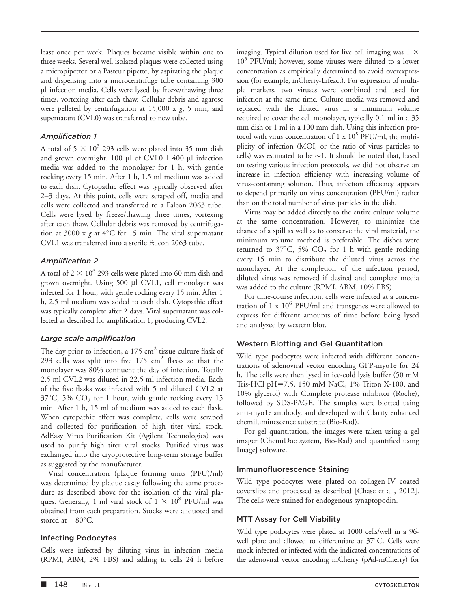least once per week. Plaques became visible within one to three weeks. Several well isolated plaques were collected using a micropipettor or a Pasteur pipette, by aspirating the plaque and dispensing into a microcentrifuge tube containing 300 µl infection media. Cells were lysed by freeze/thawing three times, vortexing after each thaw. Cellular debris and agarose were pelleted by centrifugation at  $15,000 \times g$ , 5 min, and supernatant (CVL0) was transferred to new tube.

## Amplification 1

A total of  $5 \times 10^5$  293 cells were plated into 35 mm dish and grown overnight. 100  $\mu$ l of CVL0 + 400  $\mu$ l infection media was added to the monolayer for 1 h, with gentle rocking every 15 min. After 1 h, 1.5 ml medium was added to each dish. Cytopathic effect was typically observed after 2–3 days. At this point, cells were scraped off, media and cells were collected and transferred to a Falcon 2063 tube. Cells were lysed by freeze/thawing three times, vortexing after each thaw. Cellular debris was removed by centrifugation at 3000 x  $g$  at 4°C for 15 min. The viral supernatant CVL1 was transferred into a sterile Falcon 2063 tube.

## Amplification 2

A total of 2  $\times$  10<sup>6</sup> 293 cells were plated into 60 mm dish and grown overnight. Using 500 µl CVL1, cell monolayer was infected for 1 hour, with gentle rocking every 15 min. After 1 h, 2.5 ml medium was added to each dish. Cytopathic effect was typically complete after 2 days. Viral supernatant was collected as described for amplification 1, producing CVL2.

### Large scale amplification

The day prior to infection, a  $175 \text{ cm}^2$  tissue culture flask of 293 cells was split into five  $175 \text{ cm}^2$  flasks so that the monolayer was 80% confluent the day of infection. Totally 2.5 ml CVL2 was diluted in 22.5 ml infection media. Each of the five flasks was infected with 5 ml diluted CVL2 at  $37^{\circ}$ C, 5% CO<sub>2</sub> for 1 hour, with gentle rocking every 15 min. After 1 h, 15 ml of medium was added to each flask. When cytopathic effect was complete, cells were scraped and collected for purification of high titer viral stock. AdEasy Virus Purification Kit (Agilent Technologies) was used to purify high titer viral stocks. Purified virus was exchanged into the cryoprotective long-term storage buffer as suggested by the manufacturer.

Viral concentration (plaque forming units (PFU)/ml) was determined by plaque assay following the same procedure as described above for the isolation of the viral plaques. Generally, 1 ml viral stock of  $1 \times 10^8$  PFU/ml was obtained from each preparation. Stocks were aliquoted and stored at  $-80^{\circ}$ C.

### Infecting Podocytes

Cells were infected by diluting virus in infection media (RPMI, ABM, 2% FBS) and adding to cells 24 h before imaging. Typical dilution used for live cell imaging was  $1 \times$ 105 PFU/ml; however, some viruses were diluted to a lower concentration as empirically determined to avoid overexpression (for example, mCherry-Lifeact). For expression of multiple markers, two viruses were combined and used for infection at the same time. Culture media was removed and replaced with the diluted virus in a minimum volume required to cover the cell monolayer, typically 0.1 ml in a 35 mm dish or 1 ml in a 100 mm dish. Using this infection protocol with virus concentration of 1 x  $10^5$  PFU/ml, the multiplicity of infection (MOI, or the ratio of virus particles to cells) was estimated to be  $\sim$ 1. It should be noted that, based on testing various infection protocols, we did not observe an increase in infection efficiency with increasing volume of virus-containing solution. Thus, infection efficiency appears to depend primarily on virus concentration (PFU/ml) rather than on the total number of virus particles in the dish.

Virus may be added directly to the entire culture volume at the same concentration. However, to minimize the chance of a spill as well as to conserve the viral material, the minimum volume method is preferable. The dishes were returned to  $37^{\circ}$ C, 5% CO<sub>2</sub> for 1 h with gentle rocking every 15 min to distribute the diluted virus across the monolayer. At the completion of the infection period, diluted virus was removed if desired and complete media was added to the culture (RPMI, ABM, 10% FBS).

For time-course infection, cells were infected at a concentration of 1 x  $10^6$  PFU/ml and transgenes were allowed to express for different amounts of time before being lysed and analyzed by western blot.

## Western Blotting and Gel Quantitation

Wild type podocytes were infected with different concentrations of adenoviral vector encoding GFP-myo1e for 24 h. The cells were then lysed in ice-cold lysis buffer (50 mM Tris-HCl pH=7.5, 150 mM NaCl, 1% Triton X-100, and 10% glycerol) with Complete protease inhibitor (Roche), followed by SDS-PAGE. The samples were blotted using anti-myo1e antibody, and developed with Clarity enhanced chemiluminescence substrate (Bio-Rad).

For gel quantitation, the images were taken using a gel imager (ChemiDoc system, Bio-Rad) and quantified using ImageJ software.

## Immunofluorescence Staining

Wild type podocytes were plated on collagen-IV coated coverslips and processed as described [Chase et al., 2012]. The cells were stained for endogenous synaptopodin.

## MTT Assay for Cell Viability

Wild type podocytes were plated at 1000 cells/well in a 96 well plate and allowed to differentiate at 37°C. Cells were mock-infected or infected with the indicated concentrations of the adenoviral vector encoding mCherry (pAd-mCherry) for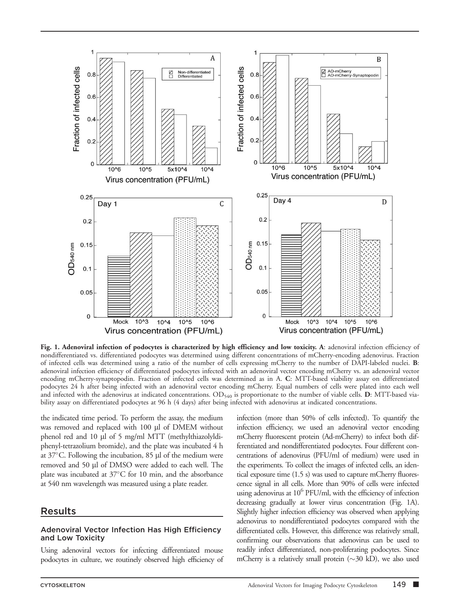

Fig. 1. Adenoviral infection of podocytes is characterized by high efficiency and low toxicity. A: adenoviral infection efficiency of nondifferentiated vs. differentiated podocytes was determined using different concentrations of mCherry-encoding adenovirus. Fraction of infected cells was determined using a ratio of the number of cells expressing mCherry to the number of DAPI-labeled nuclei. B: adenoviral infection efficiency of differentiated podocytes infected with an adenoviral vector encoding mCherry vs. an adenoviral vector encoding mCherry-synaptopodin. Fraction of infected cells was determined as in A. C: MTT-based viability assay on differentiated podocytes 24 h after being infected with an adenoviral vector encoding mCherry. Equal numbers of cells were plated into each well and infected with the adenovirus at indicated concentrations.  $OD_{540}$  is proportionate to the number of viable cells. D: MTT-based viability assay on differentiated podocytes at 96 h (4 days) after being infected with adenovirus at indicated concentrations.

the indicated time period. To perform the assay, the medium was removed and replaced with 100 µl of DMEM without phenol red and 10 µl of 5 mg/ml MTT (methylthiazolyldiphenyl-tetrazolium bromide), and the plate was incubated 4 h at 37°C. Following the incubation, 85 µl of the medium were removed and 50 µl of DMSO were added to each well. The plate was incubated at 37°C for 10 min, and the absorbance at 540 nm wavelength was measured using a plate reader.

### Results

#### Adenoviral Vector Infection Has High Efficiency and Low Toxicity

Using adenoviral vectors for infecting differentiated mouse podocytes in culture, we routinely observed high efficiency of infection (more than 50% of cells infected). To quantify the infection efficiency, we used an adenoviral vector encoding mCherry fluorescent protein (Ad-mCherry) to infect both differentiated and nondifferentiated podocytes. Four different concentrations of adenovirus (PFU/ml of medium) were used in the experiments. To collect the images of infected cells, an identical exposure time (1.5 s) was used to capture mCherry fluorescence signal in all cells. More than 90% of cells were infected using adenovirus at  $10^6$  PFU/ml, with the efficiency of infection decreasing gradually at lower virus concentration (Fig. 1A). Slightly higher infection efficiency was observed when applying adenovirus to nondifferentiated podocytes compared with the differentiated cells. However, this difference was relatively small, confirming our observations that adenovirus can be used to readily infect differentiated, non-proliferating podocytes. Since mCherry is a relatively small protein  $(\sim]30$  kD), we also used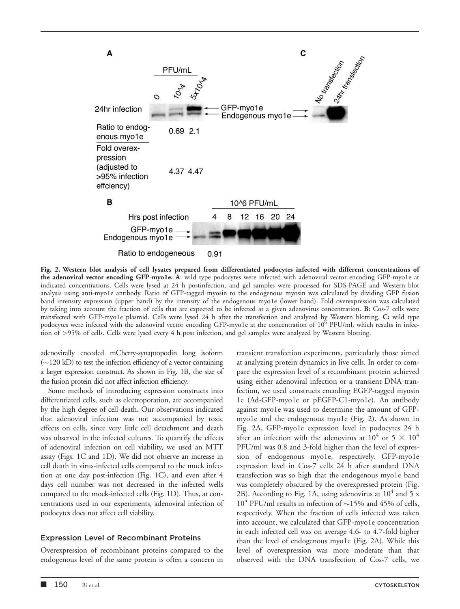

Fig. 2. Western blot analysis of cell lysates prepared from differentiated podocytes infected with different concentrations of the adenoviral vector encoding GFP-myo1e. A: wild type podocytes were infected with adenoviral vector encoding GFP-myo1e at indicated concentrations. Cells were lysed at 24 h postinfection, and gel samples were processed for SDS-PAGE and Western blot analysis using anti-myo1e antibody. Ratio of GFP-tagged myosin to the endogenous myosin was calculated by dividing GFP fusion band intensity expression (upper band) by the intensity of the endogenous myo1e (lower band). Fold overexpression was calculated by taking into account the fraction of cells that are expected to be infected at a given adenovirus concentration. B: Cos-7 cells were transfected with GFP-myo1e plasmid. Cells were lysed 24 h after the transfection and analyzed by Western blotting. C: wild type podocytes were infected with the adenoviral vector encoding GFP-myo1e at the concentration of 10<sup>6</sup> PFU/ml, which results in infection of >95% of cells. Cells were lysed every 4 h post infection, and gel samples were analyzed by Western blotting.

adenovirally encoded mCherry-synaptopodin long isoform  $(\sim)120$  kD) to test the infection efficiency of a vector containing a larger expression construct. As shown in Fig. 1B, the size of the fusion protein did not affect infection efficiency.

Some methods of introducing expression constructs into differentiated cells, such as electroporation, are accompanied by the high degree of cell death. Our observations indicated that adenoviral infection was not accompanied by toxic effects on cells, since very little cell detachment and death was observed in the infected cultures. To quantify the effects of adenoviral infection on cell viability, we used an MTT assay (Figs. 1C and 1D). We did not observe an increase in cell death in virus-infected cells compared to the mock infection at one day post-infection (Fig. 1C), and even after 4 days cell number was not decreased in the infected wells compared to the mock-infected cells (Fig. 1D). Thus, at concentrations used in our experiments, adenoviral infection of podocytes does not affect cell viability.

#### Expression Level of Recombinant Proteins

Overexpression of recombinant proteins compared to the endogenous level of the same protein is often a concern in at analyzing protein dynamics in live cells. In order to compare the expression level of a recombinant protein achieved using either adenoviral infection or a transient DNA tranfection, we used constructs encoding EGFP-tagged myosin 1e (Ad-GFP-myo1e or pEGFP-C1-myo1e). An antibody against myo1e was used to determine the amount of GFPmyo1e and the endogenous myo1e (Fig. 2). As shown in Fig. 2A, GFP-myo1e expression level in podocytes 24 h after an infection with the adenovirus at  $10^4$  or  $5 \times 10^4$ PFU/ml was 0.8 and 3-fold higher than the level of expression of endogenous myo1e, respectively. GFP-myo1e expression level in Cos-7 cells 24 h after standard DNA transfection was so high that the endogenous myo1e band was completely obscured by the overexpressed protein (Fig. 2B). According to Fig. 1A, using adenovirus at  $10^4$  and 5 x  $10^4$  PFU/ml results in infection of  $\sim$ 15% and 45% of cells, respectively. When the fraction of cells infected was taken into account, we calculated that GFP-myo1e concentration in each infected cell was on average 4.6- to 4.7-fold higher than the level of endogenous myo1e (Fig. 2A). While this level of overexpression was more moderate than that observed with the DNA transfection of Cos-7 cells, we

transient transfection experiments, particularly those aimed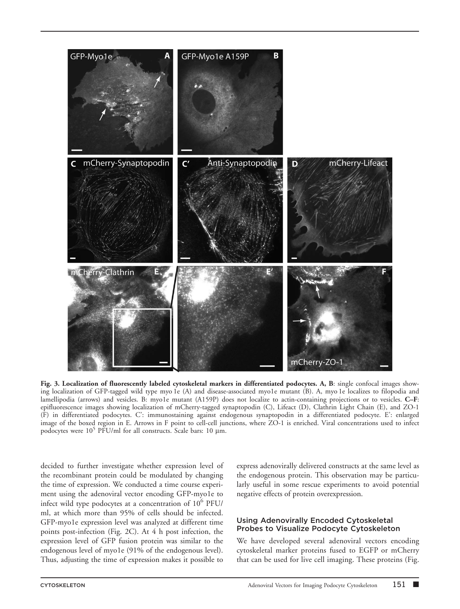

Fig. 3. Localization of fluorescently labeled cytoskeletal markers in differentiated podocytes. A, B: single confocal images showing localization of GFP-tagged wild type myo 1e (A) and disease-associated myo1e mutant (B). A, myo 1e localizes to filopodia and lamellipodia (arrows) and vesicles. B: myo1e mutant (A159P) does not localize to actin-containing projections or to vesicles. C–F: epifluorescence images showing localization of mCherry-tagged synaptopodin (C), Lifeact (D), Clathrin Light Chain (E), and ZO-1 (F) in differentiated podocytes. C': immunostaining against endogenous synaptopodin in a differentiated podocyte. E': enlarged image of the boxed region in E. Arrows in F point to cell-cell junctions, where ZO-1 is enriched. Viral concentrations used to infect podocytes were  $10^5$  PFU/ml for all constructs. Scale bars: 10  $\mu$ m.

decided to further investigate whether expression level of the recombinant protein could be modulated by changing the time of expression. We conducted a time course experiment using the adenoviral vector encoding GFP-myo1e to infect wild type podocytes at a concentration of 10<sup>6</sup> PFU/ ml, at which more than 95% of cells should be infected. GFP-myo1e expression level was analyzed at different time points post-infection (Fig. 2C). At 4 h post infection, the expression level of GFP fusion protein was similar to the endogenous level of myo1e (91% of the endogenous level). Thus, adjusting the time of expression makes it possible to

express adenovirally delivered constructs at the same level as the endogenous protein. This observation may be particularly useful in some rescue experiments to avoid potential negative effects of protein overexpression.

#### Using Adenovirally Encoded Cytoskeletal Probes to Visualize Podocyte Cytoskeleton

We have developed several adenoviral vectors encoding cytoskeletal marker proteins fused to EGFP or mCherry that can be used for live cell imaging. These proteins (Fig.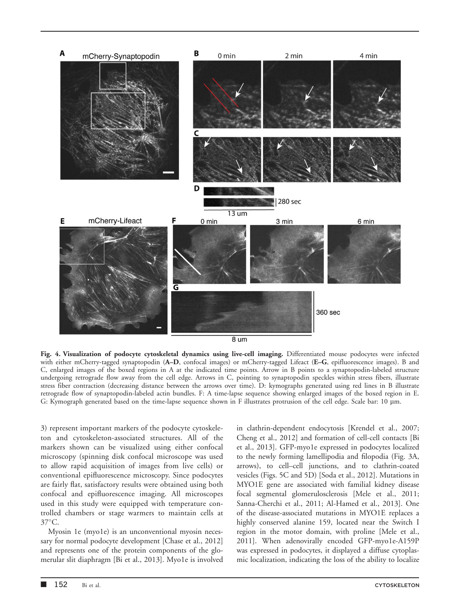

Fig. 4. Visualization of podocyte cytoskeletal dynamics using live-cell imaging. Differentiated mouse podocytes were infected with either mCherry-tagged synaptopodin (A–D, confocal images) or mCherry-tagged Lifeact (E–G, epifluorescence images). B and C, enlarged images of the boxed regions in A at the indicated time points. Arrow in B points to a synaptopodin-labeled structure undergoing retrograde flow away from the cell edge. Arrows in C, pointing to synaptopodin speckles within stress fibers, illustrate stress fiber contraction (decreasing distance between the arrows over time). D: kymographs generated using red lines in B illustrate retrograde flow of synaptopodin-labeled actin bundles. F: A time-lapse sequence showing enlarged images of the boxed region in E. G: Kymograph generated based on the time-lapse sequence shown in F illustrates protrusion of the cell edge. Scale bar: 10 µm.

3) represent important markers of the podocyte cytoskeleton and cytoskeleton-associated structures. All of the markers shown can be visualized using either confocal microscopy (spinning disk confocal microscope was used to allow rapid acquisition of images from live cells) or conventional epifluorescence microscopy. Since podocytes are fairly flat, satisfactory results were obtained using both confocal and epifluorescence imaging. All microscopes used in this study were equipped with temperature controlled chambers or stage warmers to maintain cells at  $37^{\circ}$ C.

Myosin 1e (myo1e) is an unconventional myosin necessary for normal podocyte development [Chase et al., 2012] and represents one of the protein components of the glomerular slit diaphragm [Bi et al., 2013]. Myo1e is involved in clathrin-dependent endocytosis [Krendel et al., 2007; Cheng et al., 2012] and formation of cell-cell contacts [Bi et al., 2013]. GFP-myo1e expressed in podocytes localized to the newly forming lamellipodia and filopodia (Fig. 3A, arrows), to cell–cell junctions, and to clathrin-coated vesicles (Figs. 5C and 5D) [Soda et al., 2012]. Mutations in MYO1E gene are associated with familial kidney disease focal segmental glomerulosclerosis [Mele et al., 2011; Sanna-Cherchi et al., 2011; Al-Hamed et al., 2013]. One of the disease-associated mutations in MYO1E replaces a highly conserved alanine 159, located near the Switch I region in the motor domain, with proline [Mele et al., 2011]. When adenovirally encoded GFP-myo1e-A159P was expressed in podocytes, it displayed a diffuse cytoplasmic localization, indicating the loss of the ability to localize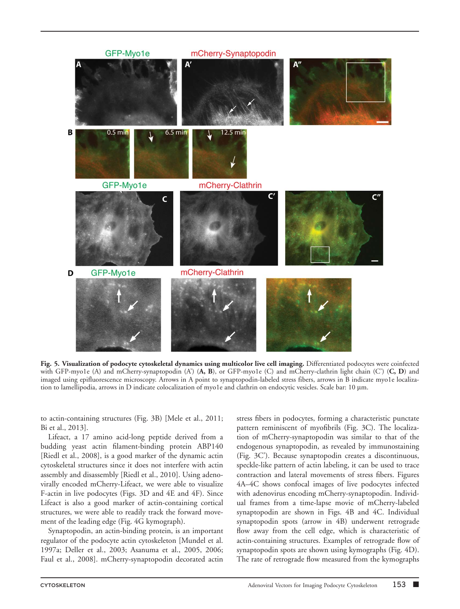

Fig. 5. Visualization of podocyte cytoskeletal dynamics using multicolor live cell imaging. Differentiated podocytes were coinfected with GFP-myo1e (A) and mCherry-synaptopodin  $(A)$  (A, B), or GFP-myo1e (C) and mCherry-clathrin light chain (C') (C, D) and imaged using epifluorescence microscopy. Arrows in A point to synaptopodin-labeled stress fibers, arrows in B indicate myo1e localization to lamellipodia, arrows in D indicate colocalization of myo1e and clathrin on endocytic vesicles. Scale bar: 10 µm.

to actin-containing structures (Fig. 3B) [Mele et al., 2011; Bi et al., 2013].

Lifeact, a 17 amino acid-long peptide derived from a budding yeast actin filament-binding protein ABP140 [Riedl et al., 2008], is a good marker of the dynamic actin cytoskeletal structures since it does not interfere with actin assembly and disassembly [Riedl et al., 2010]. Using adenovirally encoded mCherry-Lifeact, we were able to visualize F-actin in live podocytes (Figs. 3D and 4E and 4F). Since Lifeact is also a good marker of actin-containing cortical structures, we were able to readily track the forward movement of the leading edge (Fig. 4G kymograph).

Synaptopodin, an actin-binding protein, is an important regulator of the podocyte actin cytoskeleton [Mundel et al. 1997a; Deller et al., 2003; Asanuma et al., 2005, 2006; Faul et al., 2008]. mCherry-synaptopodin decorated actin stress fibers in podocytes, forming a characteristic punctate pattern reminiscent of myofibrils (Fig. 3C). The localization of mCherry-synaptopodin was similar to that of the endogenous synaptopodin, as revealed by immunostaining (Fig. 3C'). Because synaptopodin creates a discontinuous, speckle-like pattern of actin labeling, it can be used to trace contraction and lateral movements of stress fibers. Figures 4A–4C shows confocal images of live podocytes infected with adenovirus encoding mCherry-synaptopodin. Individual frames from a time-lapse movie of mCherry-labeled synaptopodin are shown in Figs. 4B and 4C. Individual synaptopodin spots (arrow in 4B) underwent retrograde flow away from the cell edge, which is characteristic of actin-containing structures. Examples of retrograde flow of synaptopodin spots are shown using kymographs (Fig. 4D). The rate of retrograde flow measured from the kymographs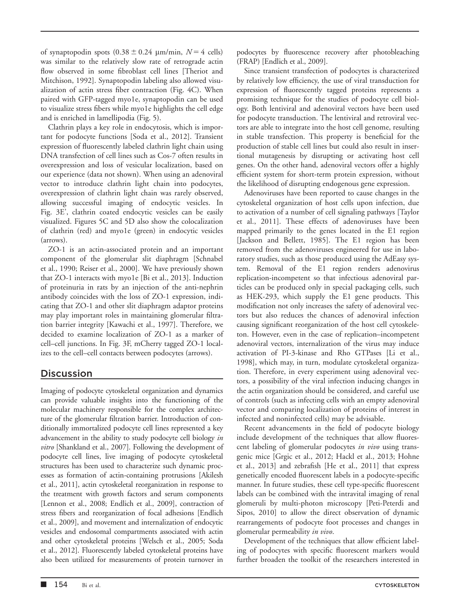of synaptopodin spots  $(0.38 \pm 0.24 \mu m/min, N = 4 \text{ cells})$ was similar to the relatively slow rate of retrograde actin flow observed in some fibroblast cell lines [Theriot and Mitchison, 1992]. Synaptopodin labeling also allowed visualization of actin stress fiber contraction (Fig. 4C). When paired with GFP-tagged myo1e, synaptopodin can be used to visualize stress fibers while myo1e highlights the cell edge and is enriched in lamellipodia (Fig. 5).

Clathrin plays a key role in endocytosis, which is important for podocyte functions [Soda et al., 2012]. Transient expression of fluorescently labeled clathrin light chain using DNA transfection of cell lines such as Cos-7 often results in overexpression and loss of vesicular localization, based on our experience (data not shown). When using an adenoviral vector to introduce clathrin light chain into podocytes, overexpression of clathrin light chain was rarely observed, allowing successful imaging of endocytic vesicles. In Fig. 3E', clathrin coated endocytic vesicles can be easily visualized. Figures 5C and 5D also show the colocalization of clathrin (red) and myo1e (green) in endocytic vesicles (arrows).

ZO-1 is an actin-associated protein and an important component of the glomerular slit diaphragm [Schnabel et al., 1990; Reiser et al., 2000]. We have previously shown that ZO-1 interacts with myo1e [Bi et al., 2013]. Induction of proteinuria in rats by an injection of the anti-nephrin antibody coincides with the loss of ZO-1 expression, indicating that ZO-1 and other slit diaphragm adaptor proteins may play important roles in maintaining glomerular filtration barrier integrity [Kawachi et al., 1997]. Therefore, we decided to examine localization of ZO-1 as a marker of cell–cell junctions. In Fig. 3F, mCherry tagged ZO-1 localizes to the cell–cell contacts between podocytes (arrows).

# **Discussion**

Imaging of podocyte cytoskeletal organization and dynamics can provide valuable insights into the functioning of the molecular machinery responsible for the complex architecture of the glomerular filtration barrier. Introduction of conditionally immortalized podocyte cell lines represented a key advancement in the ability to study podocyte cell biology in vitro [Shankland et al., 2007]. Following the development of podocyte cell lines, live imaging of podocyte cytoskeletal structures has been used to characterize such dynamic processes as formation of actin-containing protrusions [Akilesh et al., 2011], actin cytoskeletal reorganization in response to the treatment with growth factors and serum components [Lennon et al., 2008; Endlich et al., 2009], contraction of stress fibers and reorganization of focal adhesions [Endlich et al., 2009], and movement and internalization of endocytic vesicles and endosomal compartments associated with actin and other cytoskeletal proteins [Welsch et al., 2005; Soda et al., 2012]. Fluorescently labeled cytoskeletal proteins have also been utilized for measurements of protein turnover in

podocytes by fluorescence recovery after photobleaching (FRAP) [Endlich et al., 2009].

Since transient transfection of podocytes is characterized by relatively low efficiency, the use of viral transduction for expression of fluorescently tagged proteins represents a promising technique for the studies of podocyte cell biology. Both lentiviral and adenoviral vectors have been used for podocyte transduction. The lentiviral and retroviral vectors are able to integrate into the host cell genome, resulting in stable transfection. This property is beneficial for the production of stable cell lines but could also result in insertional mutagenesis by disrupting or activating host cell genes. On the other hand, adenoviral vectors offer a highly efficient system for short-term protein expression, without the likelihood of disrupting endogenous gene expression.

Adenoviruses have been reported to cause changes in the cytoskeletal organization of host cells upon infection, due to activation of a number of cell signaling pathways [Taylor et al., 2011]. These effects of adenoviruses have been mapped primarily to the genes located in the E1 region [Jackson and Bellett, 1985]. The E1 region has been removed from the adenoviruses engineered for use in laboratory studies, such as those produced using the AdEasy system. Removal of the E1 region renders adenovirus replication-incompetent so that infectious adenoviral particles can be produced only in special packaging cells, such as HEK-293, which supply the E1 gene products. This modification not only increases the safety of adenoviral vectors but also reduces the chances of adenoviral infection causing significant reorganization of the host cell cytoskeleton. However, even in the case of replication–incompetent adenoviral vectors, internalization of the virus may induce activation of PI-3-kinase and Rho GTPases [Li et al., 1998], which may, in turn, modulate cytoskeletal organization. Therefore, in every experiment using adenoviral vectors, a possibility of the viral infection inducing changes in the actin organization should be considered, and careful use of controls (such as infecting cells with an empty adenoviral vector and comparing localization of proteins of interest in infected and noninfected cells) may be advisable.

Recent advancements in the field of podocyte biology include development of the techniques that allow fluorescent labeling of glomerular podocytes in vivo using transgenic mice [Grgic et al., 2012; Hackl et al., 2013; Hohne et al., 2013] and zebrafish [He et al., 2011] that express genetically encoded fluorescent labels in a podocyte-specific manner. In future studies, these cell type-specific fluorescent labels can be combined with the intravital imaging of renal glomeruli by multi-photon microscopy [Peti-Peterdi and Sipos, 2010] to allow the direct observation of dynamic rearrangements of podocyte foot processes and changes in glomerular permeability in vivo.

Development of the techniques that allow efficient labeling of podocytes with specific fluorescent markers would further broaden the toolkit of the researchers interested in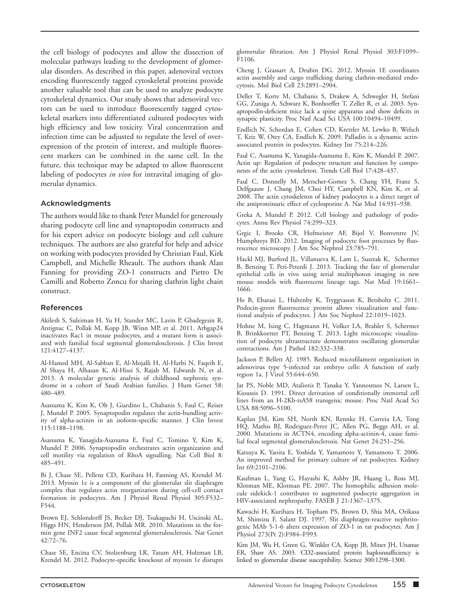the cell biology of podocytes and allow the dissection of molecular pathways leading to the development of glomerular disorders. As described in this paper, adenoviral vectors encoding fluorescently tagged cytoskeletal proteins provide another valuable tool that can be used to analyze podocyte cytoskeletal dynamics. Our study shows that adenoviral vectors can be used to introduce fluorescently tagged cytoskeletal markers into differentiated cultured podocytes with high efficiency and low toxicity. Viral concentration and infection time can be adjusted to regulate the level of overexpression of the protein of interest, and multiple fluorescent markers can be combined in the same cell. In the future, this technique may be adapted to allow fluorescent labeling of podocytes *in vivo* for intravital imaging of glomerular dynamics.

#### Acknowledgments

The authors would like to thank Peter Mundel for generously sharing podocyte cell line and synaptopodin constructs and for his expert advice on podocyte biology and cell culture techniques. The authors are also grateful for help and advice on working with podocytes provided by Christian Faul, Kirk Campbell, and Michelle Rheault. The authors thank Alan Fanning for providing ZO-1 constructs and Pietro De Camilli and Roberto Zoncu for sharing clathrin light chain construct.

#### References

Akilesh S, Suleiman H, Yu H, Stander MC, Lavin P, Gbadegesin R, Antignac C, Pollak M, Kopp JB, Winn MP, et al. 2011. Arhgap24 inactivates Rac1 in mouse podocytes, and a mutant form is associated with familial focal segmental glomerulosclerosis. J Clin Invest 121:4127–4137.

Al-Hamed MH, Al-Sabban E, Al-Mojalli H, Al-Harbi N, Faqeih E, Al Shaya H, Alhasan K, Al-Hissi S, Rajab M, Edwards N, et al. 2013. A molecular genetic analysis of childhood nephrotic syndrome in a cohort of Saudi Arabian families. J Hum Genet 58: 480–489.

Asanuma K, Kim K, Oh J, Giardino L, Chabanis S, Faul C, Reiser J, Mundel P. 2005. Synaptopodin regulates the actin-bundling activity of alpha-actinin in an isoform-specific manner. J Clin Invest 115:1188–1198.

Asanuma K, Yanagida-Asanuma E, Faul C, Tomino Y, Kim K, Mundel P. 2006. Synaptopodin orchestrates actin organization and cell motility via regulation of RhoA signalling. Nat Cell Biol 8: 485–491.

Bi J, Chase SE, Pellenz CD, Kurihara H, Fanning AS, Krendel M. 2013. Myosin 1e is a component of the glomerular slit diaphragm complex that regulates actin reorganization during cell-cell contact formation in podocytes. Am J Physiol Renal Physiol 305:F532– F544.

Brown EJ, Schlondorff JS, Becker DJ, Tsukaguchi H, Uscinski AL, Higgs HN, Henderson JM, Pollak MR. 2010. Mutations in the formin gene INF2 cause focal segmental glomerulosclerosis. Nat Genet 42:72–76.

Chase SE, Encina CV, Stolzenburg LR, Tatum AH, Holzman LB, Krendel M. 2012. Podocyte-specific knockout of myosin 1e disrupts glomerular filtration. Am J Physiol Renal Physiol 303:F1099– F<sub>1106</sub>.

Cheng J, Grassart A, Drubin DG. 2012. Myosin 1E coordinates actin assembly and cargo trafficking during clathrin-mediated endocytosis. Mol Biol Cell 23:2891–2904.

Deller T, Korte M, Chabanis S, Drakew A, Schwegler H, Stefani GG, Zuniga A, Schwarz K, Bonhoeffer T, Zeller R, et al. 2003. Synaptopodin-deficient mice lack a spine apparatus and show deficits in synaptic plasticity. Proc Natl Acad Sci USA 100:10494–10499.

Endlich N, Schordan E, Cohen CD, Kretzler M, Lewko B, Welsch T, Kriz W, Otey CA, Endlich K. 2009. Palladin is a dynamic actinassociated protein in podocytes. Kidney Int 75:214–226.

Faul C, Asanuma K, Yanagida-Asanuma E, Kim K, Mundel P. 2007. Actin up: Regulation of podocyte structure and function by components of the actin cytoskeleton. Trends Cell Biol 17:428–437.

Faul C, Donnelly M, Merscher-Gomez S, Chang YH, Franz S, Delfgaauw J, Chang JM, Choi HY, Campbell KN, Kim K, et al. 2008. The actin cytoskeleton of kidney podocytes is a direct target of the antiproteinuric effect of cyclosporine A. Nat Med 14:931–938.

Greka A, Mundel P. 2012. Cell biology and pathology of podocytes. Annu Rev Physiol 74:299–323.

Grgic I, Brooks CR, Hofmeister AF, Bijol V, Bonventre JV, Humphreys BD. 2012. Imaging of podocyte foot processes by fluorescence microscopy. J Am Soc Nephrol 23:785–791.

Hackl MJ, Burford JL, Villanueva K, Lam L, Susztak K, Schermer B, Benzing T, Peti-Peterdi J. 2013. Tracking the fate of glomerular epithelial cells in vivo using serial multiphoton imaging in new mouse models with fluorescent lineage tags. Nat Med 19:1661– 1666.

He B, Ebarasi L, Hultenby K, Tryggvason K, Betsholtz C. 2011. Podocin-green fluorescence protein allows visualization and functional analysis of podocytes. J Am Soc Nephrol 22:1019–1023.

Hohne M, Ising C, Hagmann H, Volker LA, Brahler S, Schermer B, Brinkkoetter PT, Benzing T. 2013. Light microscopic visualization of podocyte ultrastructure demonstrates oscillating glomerular contractions. Am J Pathol 182:332–338.

Jackson P, Bellett AJ. 1985. Reduced microfilament organization in adenovirus type 5-infected rat embryo cells: A function of early region 1a. J Virol 55:644–650.

Jat PS, Noble MD, Ataliotis P, Tanaka Y, Yannoutsos N, Larsen L, Kioussis D. 1991. Direct derivation of conditionally immortal cell lines from an H-2Kb-tsA58 transgenic mouse. Proc Natl Acad Sci USA 88:5096–5100.

Kaplan JM, Kim SH, North KN, Rennke H, Correia LA, Tong HQ, Mathis BJ, Rodriguez-Perez JC, Allen PG, Beggs AH, et al. 2000. Mutations in ACTN4, encoding alpha-actinin-4, cause familial focal segmental glomerulosclerosis. Nat Genet 24:251–256.

Katsuya K, Yaoita E, Yoshida Y, Yamamoto Y, Yamamoto T. 2006. An improved method for primary culture of rat podocytes. Kidney Int 69:2101–2106.

Kaufman L, Yang G, Hayashi K, Ashby JR, Huang L, Ross MJ, Klotman ME, Klotman PE. 2007. The homophilic adhesion molecule sidekick-1 contributes to augmented podocyte aggregation in HIV-associated nephropathy. FASEB J 21:1367–1375.

Kawachi H, Kurihara H, Topham PS, Brown D, Shia MA, Orikasa M, Shimizu F, Salant DJ. 1997. Slit diaphragm-reactive nephritogenic MAb 5-1-6 alters expression of ZO-1 in rat podocytes. Am J Physiol 273(Pt 2):F984–F993.

Kim JM, Wu H, Green G, Winkler CA, Kopp JB, Miner JH, Unanue ER, Shaw AS. 2003. CD2-associated protein haploinsufficiency is linked to glomerular disease susceptibility. Science 300:1298–1300.